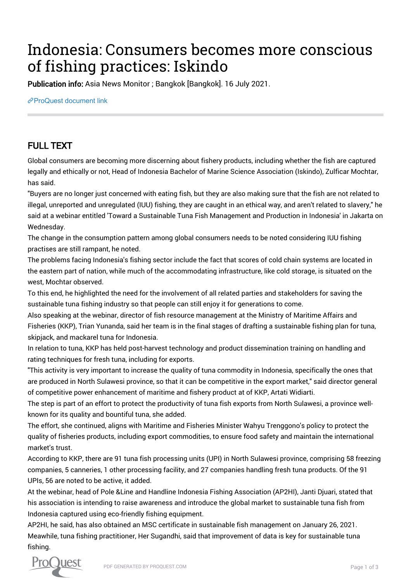## Indonesia: Consumers becomes more conscious of fishing practices: Iskindo

Publication info: Asia News Monitor ; Bangkok [Bangkok]. 16 July 2021.

[ProQuest document link](http://132.174.250.227/newspapers/indonesia-consumers-becomes-more-conscious/docview/2551592668/se-2?accountid=8394)

## FULL TEXT

Global consumers are becoming more discerning about fishery products, including whether the fish are captured legally and ethically or not, Head of Indonesia Bachelor of Marine Science Association (Iskindo), Zulficar Mochtar, has said.

"Buyers are no longer just concerned with eating fish, but they are also making sure that the fish are not related to illegal, unreported and unregulated (IUU) fishing, they are caught in an ethical way, and aren't related to slavery," he said at a webinar entitled 'Toward a Sustainable Tuna Fish Management and Production in Indonesia' in Jakarta on Wednesday.

The change in the consumption pattern among global consumers needs to be noted considering IUU fishing practises are still rampant, he noted.

The problems facing Indonesia's fishing sector include the fact that scores of cold chain systems are located in the eastern part of nation, while much of the accommodating infrastructure, like cold storage, is situated on the west, Mochtar observed.

To this end, he highlighted the need for the involvement of all related parties and stakeholders for saving the sustainable tuna fishing industry so that people can still enjoy it for generations to come.

Also speaking at the webinar, director of fish resource management at the Ministry of Maritime Affairs and Fisheries (KKP), Trian Yunanda, said her team is in the final stages of drafting a sustainable fishing plan for tuna, skipjack, and mackarel tuna for Indonesia.

In relation to tuna, KKP has held post-harvest technology and product dissemination training on handling and rating techniques for fresh tuna, including for exports.

"This activity is very important to increase the quality of tuna commodity in Indonesia, specifically the ones that are produced in North Sulawesi province, so that it can be competitive in the export market," said director general of competitive power enhancement of maritime and fishery product at of KKP, Artati Widiarti.

The step is part of an effort to protect the productivity of tuna fish exports from North Sulawesi, a province wellknown for its quality and bountiful tuna, she added.

The effort, she continued, aligns with Maritime and Fisheries Minister Wahyu Trenggono's policy to protect the quality of fisheries products, including export commodities, to ensure food safety and maintain the international market's trust.

According to KKP, there are 91 tuna fish processing units (UPI) in North Sulawesi province, comprising 58 freezing companies, 5 canneries, 1 other processing facility, and 27 companies handling fresh tuna products. Of the 91 UPIs, 56 are noted to be active, it added.

At the webinar, head of Pole &Line and Handline Indonesia Fishing Association (AP2HI), Janti Djuari, stated that his association is intending to raise awareness and introduce the global market to sustainable tuna fish from Indonesia captured using eco-friendly fishing equipment.

AP2HI, he said, has also obtained an MSC certificate in sustainable fish management on January 26, 2021. Meawhile, tuna fishing practitioner, Her Sugandhi, said that improvement of data is key for sustainable tuna fishing.

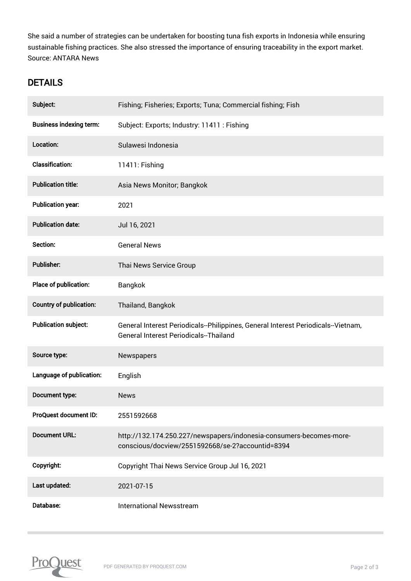She said a number of strategies can be undertaken for boosting tuna fish exports in Indonesia while ensuring sustainable fishing practices. She also stressed the importance of ensuring traceability in the export market. Source: ANTARA News

## **DETAILS**

| Subject:                       | Fishing; Fisheries; Exports; Tuna; Commercial fishing; Fish                                                                        |
|--------------------------------|------------------------------------------------------------------------------------------------------------------------------------|
| <b>Business indexing term:</b> | Subject: Exports; Industry: 11411 : Fishing                                                                                        |
| Location:                      | Sulawesi Indonesia                                                                                                                 |
| <b>Classification:</b>         | 11411: Fishing                                                                                                                     |
| <b>Publication title:</b>      | Asia News Monitor; Bangkok                                                                                                         |
| <b>Publication year:</b>       | 2021                                                                                                                               |
| <b>Publication date:</b>       | Jul 16, 2021                                                                                                                       |
| Section:                       | <b>General News</b>                                                                                                                |
| <b>Publisher:</b>              | Thai News Service Group                                                                                                            |
| Place of publication:          | Bangkok                                                                                                                            |
| <b>Country of publication:</b> | Thailand, Bangkok                                                                                                                  |
| <b>Publication subject:</b>    | General Interest Periodicals--Philippines, General Interest Periodicals--Vietnam,<br><b>General Interest Periodicals--Thailand</b> |
| Source type:                   | Newspapers                                                                                                                         |
| Language of publication:       | English                                                                                                                            |
| Document type:                 | <b>News</b>                                                                                                                        |
| ProQuest document ID:          | 2551592668                                                                                                                         |
| <b>Document URL:</b>           | http://132.174.250.227/newspapers/indonesia-consumers-becomes-more-<br>conscious/docview/2551592668/se-2?accountid=8394            |
| Copyright:                     | Copyright Thai News Service Group Jul 16, 2021                                                                                     |
| Last updated:                  | 2021-07-15                                                                                                                         |
| Database:                      | <b>International Newsstream</b>                                                                                                    |